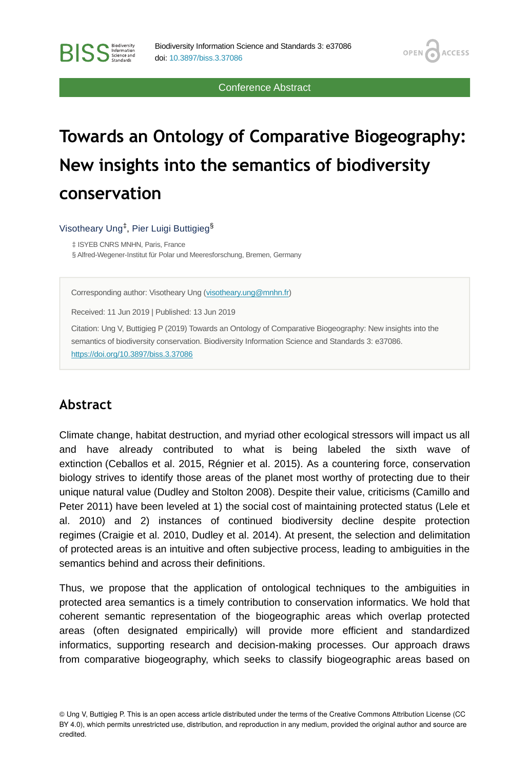Conference Abstract

**OPEN** 

**ACCESS** 

# **Towards an Ontology of Comparative Biogeography: New insights into the semantics of biodiversity conservation**

Visotheary Ung<sup>‡</sup>, Pier Luigi Buttigieg<sup>§</sup>

‡ ISYEB CNRS MNHN, Paris, France

**BISS** Steince and

§ Alfred-Wegener-Institut für Polar und Meeresforschung, Bremen, Germany

Corresponding author: Visotheary Ung [\(visotheary.ung@mnhn.fr](mailto:visotheary.ung@mnhn.fr))

Received: 11 Jun 2019 | Published: 13 Jun 2019

Citation: Ung V, Buttigieg P (2019) Towards an Ontology of Comparative Biogeography: New insights into the semantics of biodiversity conservation. Biodiversity Information Science and Standards 3: e37086. <https://doi.org/10.3897/biss.3.37086>

#### **Abstract**

Climate change, habitat destruction, and myriad other ecological stressors will impact us all and have already contributed to what is being labeled the sixth wave of extinction (Ceballos et al. 2015, Régnier et al. 2015). As a countering force, conservation biology strives to identify those areas of the planet most worthy of protecting due to their unique natural value (Dudley and Stolton 2008). Despite their value, criticisms (Camillo and Peter 2011) have been leveled at 1) the social cost of maintaining protected status (Lele et al. 2010) and 2) instances of continued biodiversity decline despite protection regimes (Craigie et al. 2010, Dudley et al. 2014). At present, the selection and delimitation of protected areas is an intuitive and often subjective process, leading to ambiguities in the semantics behind and across their definitions.

Thus, we propose that the application of ontological techniques to the ambiguities in protected area semantics is a timely contribution to conservation informatics. We hold that coherent semantic representation of the biogeographic areas which overlap protected areas (often designated empirically) will provide more efficient and standardized informatics, supporting research and decision-making processes. Our approach draws from comparative biogeography, which seeks to classify biogeographic areas based on

<sup>©</sup> Ung V, Buttigieg P. This is an open access article distributed under the terms of the Creative Commons Attribution License (CC BY 4.0), which permits unrestricted use, distribution, and reproduction in any medium, provided the original author and source are credited.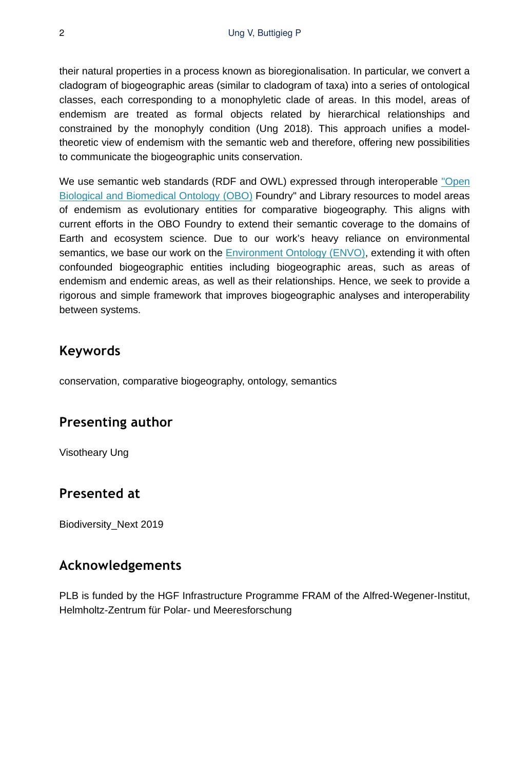their natural properties in a process known as bioregionalisation. In particular, we convert a cladogram of biogeographic areas (similar to cladogram of taxa) into a series of ontological classes, each corresponding to a monophyletic clade of areas. In this model, areas of endemism are treated as formal objects related by hierarchical relationships and constrained by the monophyly condition (Ung 2018). This approach unifies a modeltheoretic view of endemism with the semantic web and therefore, offering new possibilities to communicate the biogeographic units conservation.

We use semantic web standards (RDF and OWL) expressed through interoperable ["Open](http://www.obofoundry.org) [Biological and Biomedical Ontology \(OBO\)](http://www.obofoundry.org) Foundry" and Library resources to model areas of endemism as evolutionary entities for comparative biogeography. This aligns with current efforts in the OBO Foundry to extend their semantic coverage to the domains of Earth and ecosystem science. Due to our work's heavy reliance on environmental semantics, we base our work on the [Environment Ontology \(ENVO\),](http://www.environmentontology.org/) extending it with often confounded biogeographic entities including biogeographic areas, such as areas of endemism and endemic areas, as well as their relationships. Hence, we seek to provide a rigorous and simple framework that improves biogeographic analyses and interoperability between systems.

# **Keywords**

conservation, comparative biogeography, ontology, semantics

# **Presenting author**

Visotheary Ung

## **Presented at**

Biodiversity\_Next 2019

## **Acknowledgements**

PLB is funded by the HGF Infrastructure Programme FRAM of the Alfred-Wegener-Institut, Helmholtz-Zentrum für Polar- und Meeresforschung